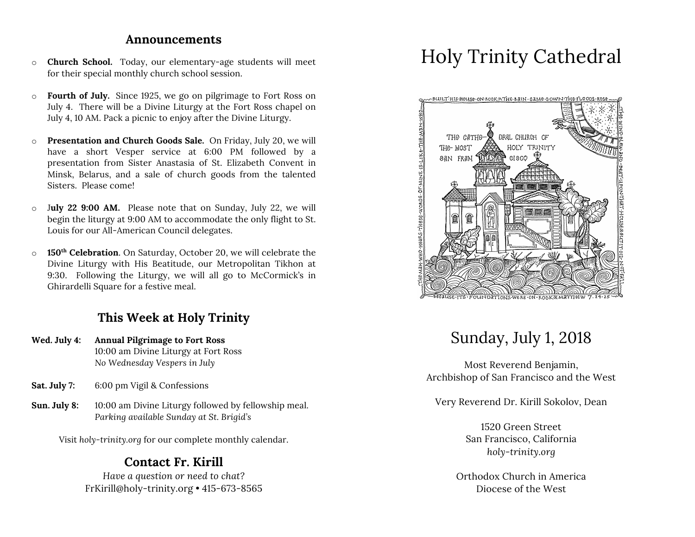#### **Announcements**

- o **Church School.** Today, our elementary-age students will meet for their special monthly church school session.
- o **Fourth of July.** Since 1925, we go on pilgrimage to Fort Ross on July 4. There will be a Divine Liturgy at the Fort Ross chapel on July 4, 10 AM. Pack a picnic to enjoy after the Divine Liturgy.
- o **Presentation and Church Goods Sale.** On Friday, July 20, we will have a short Vesper service at 6:00 PM followed by a presentation from Sister Anastasia of St. Elizabeth Convent in Minsk, Belarus, and a sale of church goods from the talented Sisters. Please come!
- o J**uly 22 9:00 AM.** Please note that on Sunday, July 22, we will begin the liturgy at 9:00 AM to accommodate the only flight to St. Louis for our All-American Council delegates.
- o **150th Celebration**. On Saturday, October 20, we will celebrate the Divine Liturgy with His Beatitude, our Metropolitan Tikhon at 9:30. Following the Liturgy, we will all go to McCormick's in Ghirardelli Square for a festive meal.

# **This Week at Holy Trinity**

- **Wed. July 4: Annual Pilgrimage to Fort Ross** 10:00 am Divine Liturgy at Fort Ross *No Wednesday Vespers in July*
- **Sat. July 7:** 6:00 pm Vigil & Confessions
- **Sun. July 8:** 10:00 am Divine Liturgy followed by fellowship meal. *Parking available Sunday at St. Brigid's*

Visit *holy-trinity.org* for our complete monthly calendar.

# **Contact Fr. Kirill**

*Have a question or need to chat?* FrKirill@holy-trinity.org • 415-673-8565

# Holy Trinity Cathedral



# Sunday, July 1, 2018

Most Reverend Benjamin, Archbishop of San Francisco and the West

Very Reverend Dr. Kirill Sokolov, Dean

1520 Green Street San Francisco, California *holy-trinity.org*

Orthodox Church in America Diocese of the West